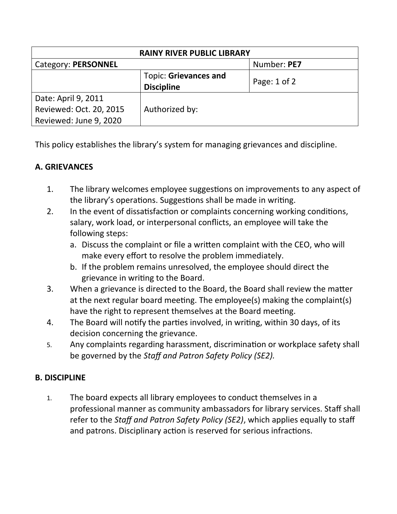| <b>RAINY RIVER PUBLIC LIBRARY</b> |                       |                  |  |
|-----------------------------------|-----------------------|------------------|--|
| Category: PERSONNEL               |                       | Number: PE7      |  |
|                                   | Topic: Grievances and | Page: $1$ of $2$ |  |
|                                   | <b>Discipline</b>     |                  |  |
| Date: April 9, 2011               |                       |                  |  |
| Reviewed: Oct. 20, 2015           | Authorized by:        |                  |  |
| Reviewed: June 9, 2020            |                       |                  |  |

This policy establishes the library's system for managing grievances and discipline.

## **A. GRIEVANCES**

- 1. The library welcomes employee suggestions on improvements to any aspect of the library's operations. Suggestions shall be made in writing.
- 2. In the event of dissatisfaction or complaints concerning working conditions, salary, work load, or interpersonal conflicts, an employee will take the following steps:
	- a. Discuss the complaint or file a written complaint with the CEO, who will make every effort to resolve the problem immediately.
	- b. If the problem remains unresolved, the employee should direct the grievance in writing to the Board.
- 3. When a grievance is directed to the Board, the Board shall review the matter at the next regular board meeting. The employee(s) making the complaint(s) have the right to represent themselves at the Board meeting.
- 4. The Board will notify the parties involved, in writing, within 30 days, of its decision concerning the grievance.
- 5. Any complaints regarding harassment, discrimination or workplace safety shall be governed by the *Staff and Patron Safety Policy (SE2).*

## **B. DISCIPLINE**

1. The board expects all library employees to conduct themselves in a professional manner as community ambassadors for library services. Staff shall refer to the *Staff and Patron Safety Policy (SE2)*, which applies equally to staff and patrons. Disciplinary action is reserved for serious infractions.